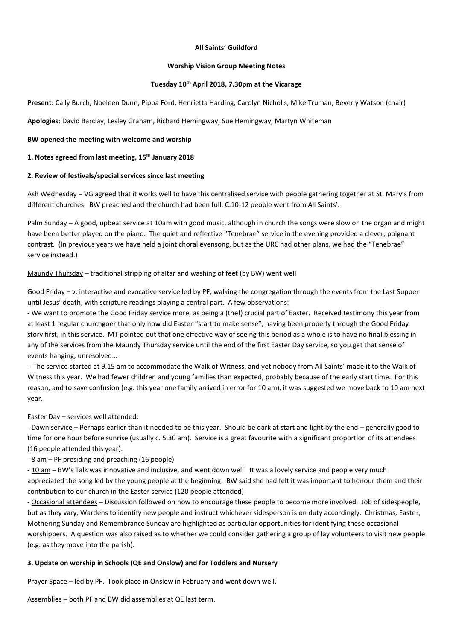#### **All Saints' Guildford**

#### **Worship Vision Group Meeting Notes**

#### **Tuesday 10th April 2018, 7.30pm at the Vicarage**

**Present:** Cally Burch, Noeleen Dunn, Pippa Ford, Henrietta Harding, Carolyn Nicholls, Mike Truman, Beverly Watson (chair)

**Apologies**: David Barclay, Lesley Graham, Richard Hemingway, Sue Hemingway, Martyn Whiteman

### **BW opened the meeting with welcome and worship**

**1. Notes agreed from last meeting, 15th January 2018**

#### **2. Review of festivals/special services since last meeting**

Ash Wednesday – VG agreed that it works well to have this centralised service with people gathering together at St. Mary's from different churches. BW preached and the church had been full. C.10-12 people went from All Saints'.

Palm Sunday – A good, upbeat service at 10am with good music, although in church the songs were slow on the organ and might have been better played on the piano. The quiet and reflective "Tenebrae" service in the evening provided a clever, poignant contrast. (In previous years we have held a joint choral evensong, but as the URC had other plans, we had the "Tenebrae" service instead.)

### Maundy Thursday – traditional stripping of altar and washing of feet (by BW) went well

Good Friday – v. interactive and evocative service led by PF, walking the congregation through the events from the Last Supper until Jesus' death, with scripture readings playing a central part. A few observations:

- We want to promote the Good Friday service more, as being a (the!) crucial part of Easter. Received testimony this year from at least 1 regular churchgoer that only now did Easter "start to make sense", having been properly through the Good Friday story first, in this service. MT pointed out that one effective way of seeing this period as a whole is to have no final blessing in any of the services from the Maundy Thursday service until the end of the first Easter Day service, so you get that sense of events hanging, unresolved…

- The service started at 9.15 am to accommodate the Walk of Witness, and yet nobody from All Saints' made it to the Walk of Witness this year. We had fewer children and young families than expected, probably because of the early start time. For this reason, and to save confusion (e.g. this year one family arrived in error for 10 am), it was suggested we move back to 10 am next year.

# Easter Day – services well attended:

- Dawn service – Perhaps earlier than it needed to be this year. Should be dark at start and light by the end – generally good to time for one hour before sunrise (usually c. 5.30 am). Service is a great favourite with a significant proportion of its attendees (16 people attended this year).

# - 8 am – PF presiding and preaching (16 people)

- 10 am – BW's Talk was innovative and inclusive, and went down well! It was a lovely service and people very much appreciated the song led by the young people at the beginning. BW said she had felt it was important to honour them and their contribution to our church in the Easter service (120 people attended)

- Occasional attendees – Discussion followed on how to encourage these people to become more involved. Job of sidespeople, but as they vary, Wardens to identify new people and instruct whichever sidesperson is on duty accordingly. Christmas, Easter, Mothering Sunday and Remembrance Sunday are highlighted as particular opportunities for identifying these occasional worshippers. A question was also raised as to whether we could consider gathering a group of lay volunteers to visit new people (e.g. as they move into the parish).

# **3. Update on worship in Schools (QE and Onslow) and for Toddlers and Nursery**

Prayer Space – led by PF. Took place in Onslow in February and went down well.

Assemblies – both PF and BW did assemblies at QE last term.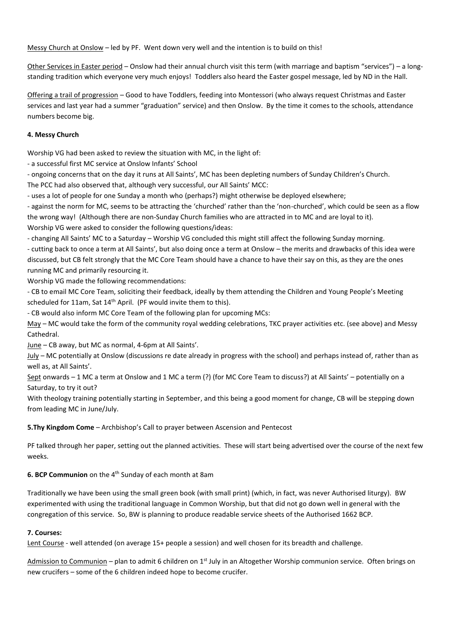Messy Church at Onslow – led by PF. Went down very well and the intention is to build on this!

Other Services in Easter period – Onslow had their annual church visit this term (with marriage and baptism "services") – a longstanding tradition which everyone very much enjoys! Toddlers also heard the Easter gospel message, led by ND in the Hall.

Offering a trail of progression – Good to have Toddlers, feeding into Montessori (who always request Christmas and Easter services and last year had a summer "graduation" service) and then Onslow. By the time it comes to the schools, attendance numbers become big.

# **4. Messy Church**

Worship VG had been asked to review the situation with MC, in the light of:

- a successful first MC service at Onslow Infants' School

- ongoing concerns that on the day it runs at All Saints', MC has been depleting numbers of Sunday Children's Church.

The PCC had also observed that, although very successful, our All Saints' MCC:

- uses a lot of people for one Sunday a month who (perhaps?) might otherwise be deployed elsewhere;

- against the norm for MC, seems to be attracting the 'churched' rather than the 'non-churched', which could be seen as a flow the wrong way! (Although there are non-Sunday Church families who are attracted in to MC and are loyal to it).

Worship VG were asked to consider the following questions/ideas:

- changing All Saints' MC to a Saturday – Worship VG concluded this might still affect the following Sunday morning. - cutting back to once a term at All Saints', but also doing once a term at Onslow – the merits and drawbacks of this idea were discussed, but CB felt strongly that the MC Core Team should have a chance to have their say on this, as they are the ones running MC and primarily resourcing it.

Worship VG made the following recommendations:

- CB to email MC Core Team, soliciting their feedback, ideally by them attending the Children and Young People's Meeting scheduled for 11am, Sat 14<sup>th</sup> April. (PF would invite them to this).

- CB would also inform MC Core Team of the following plan for upcoming MCs:

May – MC would take the form of the community royal wedding celebrations, TKC prayer activities etc. (see above) and Messy Cathedral.

June – CB away, but MC as normal, 4-6pm at All Saints'.

July – MC potentially at Onslow (discussions re date already in progress with the school) and perhaps instead of, rather than as well as, at All Saints'.

Sept onwards – 1 MC a term at Onslow and 1 MC a term (?) (for MC Core Team to discuss?) at All Saints' – potentially on a Saturday, to try it out?

With theology training potentially starting in September, and this being a good moment for change, CB will be stepping down from leading MC in June/July.

**5.Thy Kingdom Come** – Archbishop's Call to prayer between Ascension and Pentecost

PF talked through her paper, setting out the planned activities. These will start being advertised over the course of the next few weeks.

### **6. BCP Communion** on the 4th Sunday of each month at 8am

Traditionally we have been using the small green book (with small print) (which, in fact, was never Authorised liturgy). BW experimented with using the traditional language in Common Worship, but that did not go down well in general with the congregation of this service. So, BW is planning to produce readable service sheets of the Authorised 1662 BCP.

# **7. Courses:**

Lent Course - well attended (on average 15+ people a session) and well chosen for its breadth and challenge.

Admission to Communion - plan to admit 6 children on 1<sup>st</sup> July in an Altogether Worship communion service. Often brings on new crucifers – some of the 6 children indeed hope to become crucifer.